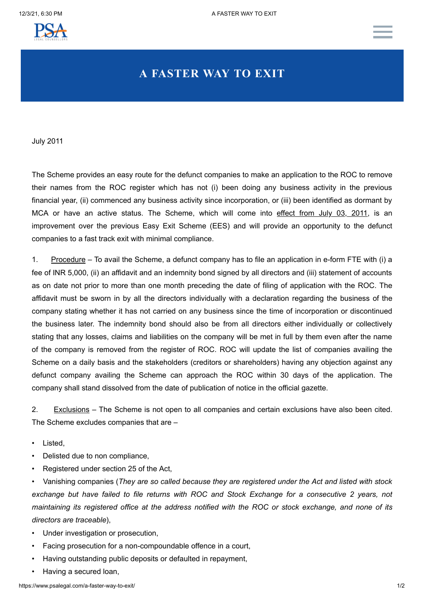

## **A FASTER WAY TO EXIT**

July 2011

The Scheme provides an easy route for the defunct companies to make an application to the ROC to remove their names from the ROC register which has not (i) been doing any business activity in the previous financial year, (ii) commenced any business activity since incorporation, or (iii) been identified as dormant by MCA or have an active status. The Scheme, which will come into effect from July 03, 2011, is an improvement over the previous Easy Exit Scheme (EES) and will provide an opportunity to the defunct companies to a fast track exit with minimal compliance.

1. Procedure – To avail the Scheme, a defunct company has to file an application in e-form FTE with (i) a fee of INR 5,000, (ii) an affidavit and an indemnity bond signed by all directors and (iii) statement of accounts as on date not prior to more than one month preceding the date of filing of application with the ROC. The affidavit must be sworn in by all the directors individually with a declaration regarding the business of the company stating whether it has not carried on any business since the time of incorporation or discontinued the business later. The indemnity bond should also be from all directors either individually or collectively stating that any losses, claims and liabilities on the company will be met in full by them even after the name of the company is removed from the register of ROC. ROC will update the list of companies availing the Scheme on a daily basis and the stakeholders (creditors or shareholders) having any objection against any defunct company availing the Scheme can approach the ROC within 30 days of the application. The company shall stand dissolved from the date of publication of notice in the official gazette.

2. Exclusions – The Scheme is not open to all companies and certain exclusions have also been cited. The Scheme excludes companies that are –

- Listed,
- Delisted due to non compliance,
- Registered under section 25 of the Act,

• Vanishing companies (*They are so called because they are registered under the Act and listed with stock exchange but have failed to file returns with ROC and Stock Exchange for a consecutive 2 years, not maintaining its registered office at the address notified with the ROC or stock exchange, and none of its directors are traceable*),

- Under investigation or prosecution,
- Facing prosecution for a non-compoundable offence in a court,
- Having outstanding public deposits or defaulted in repayment,
- Having a secured loan,